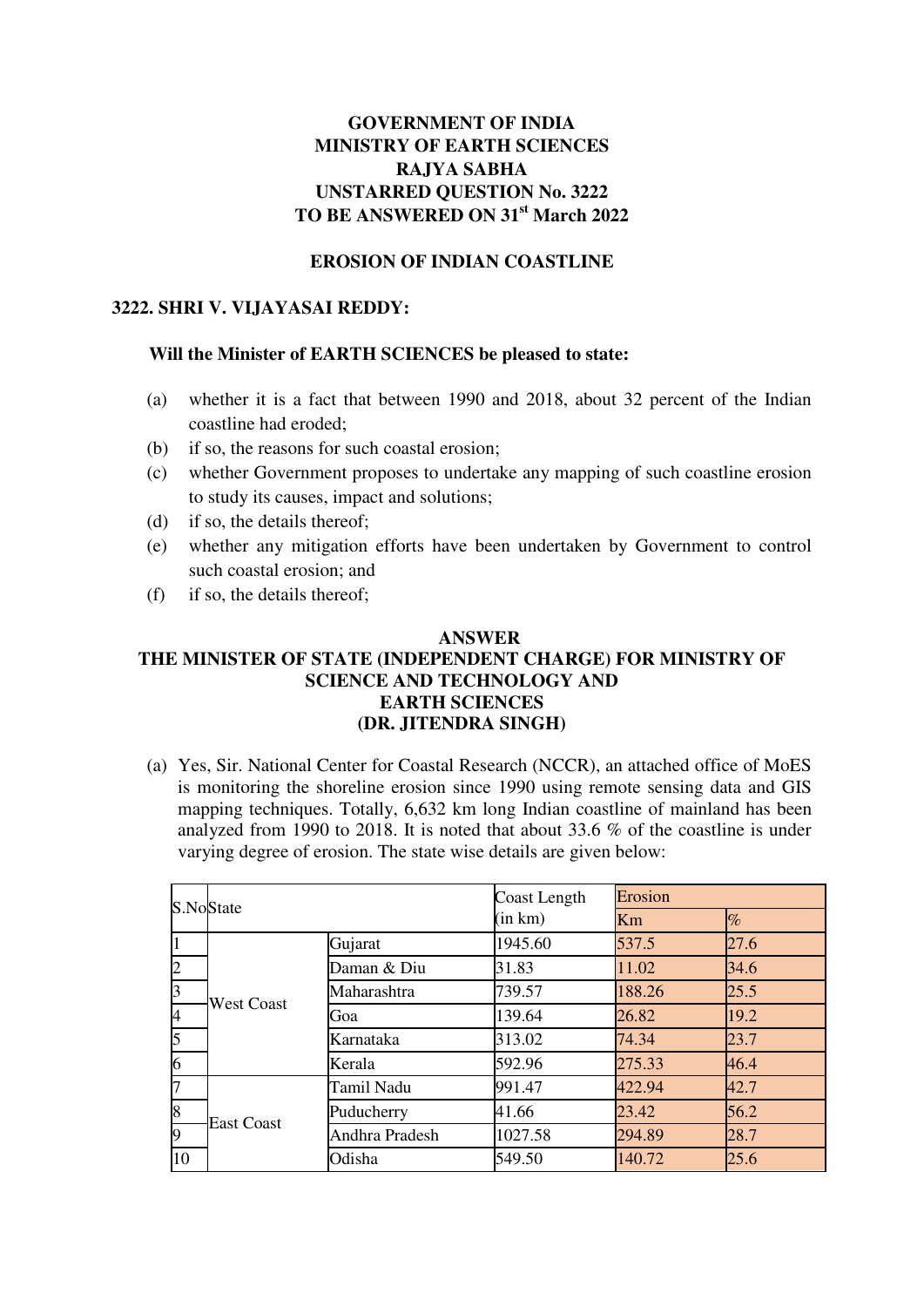# **GOVERNMENT OF INDIA MINISTRY OF EARTH SCIENCES RAJYA SABHA UNSTARRED QUESTION No. 3222 TO BE ANSWERED ON 31st March 2022**

### **EROSION OF INDIAN COASTLINE**

## **3222. SHRI V. VIJAYASAI REDDY:**

#### **Will the Minister of EARTH SCIENCES be pleased to state:**

- (a) whether it is a fact that between 1990 and 2018, about 32 percent of the Indian coastline had eroded;
- (b) if so, the reasons for such coastal erosion;
- (c) whether Government proposes to undertake any mapping of such coastline erosion to study its causes, impact and solutions;
- (d) if so, the details thereof;
- (e) whether any mitigation efforts have been undertaken by Government to control such coastal erosion; and
- (f) if so, the details thereof;

#### **ANSWER**

## **THE MINISTER OF STATE (INDEPENDENT CHARGE) FOR MINISTRY OF SCIENCE AND TECHNOLOGY AND EARTH SCIENCES (DR. JITENDRA SINGH)**

(a) Yes, Sir. National Center for Coastal Research (NCCR), an attached office of MoES is monitoring the shoreline erosion since 1990 using remote sensing data and GIS mapping techniques. Totally, 6,632 km long Indian coastline of mainland has been analyzed from 1990 to 2018. It is noted that about 33.6 % of the coastline is under varying degree of erosion. The state wise details are given below:

|                | S.NoState         |                | Coast Length | Erosion |      |
|----------------|-------------------|----------------|--------------|---------|------|
|                |                   |                | (in km)      | Km      | $\%$ |
| 1              | <b>West Coast</b> | Gujarat        | 1945.60      | 537.5   | 27.6 |
| $\overline{2}$ |                   | Daman & Diu    | 31.83        | 11.02   | 34.6 |
| 3              |                   | Maharashtra    | 739.57       | 188.26  | 25.5 |
| $\overline{A}$ |                   | Goa            | 139.64       | 26.82   | 19.2 |
| 5              |                   | Karnataka      | 313.02       | 74.34   | 23.7 |
| 6              |                   | Kerala         | 592.96       | 275.33  | 46.4 |
| l7             | <b>East Coast</b> | Tamil Nadu     | 991.47       | 422.94  | 42.7 |
| 8              |                   | Puducherry     | 41.66        | 23.42   | 56.2 |
| 9              |                   | Andhra Pradesh | 1027.58      | 294.89  | 28.7 |
| 10             |                   | Odisha         | 549.50       | 140.72  | 25.6 |